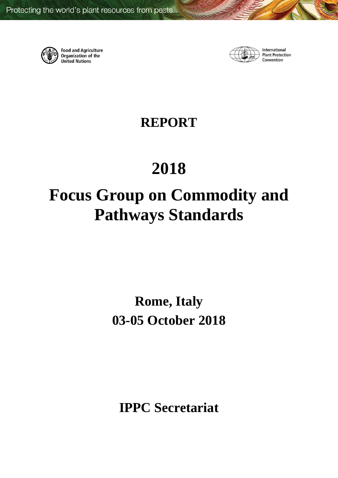

**Food and Agriculture Organization of the United Nations** 



International **Plant Protection** Convention

## **REPORT**

# **2018**

# **Focus Group on Commodity and Pathways Standards**

## **Rome, Italy 03-05 October 2018**

**IPPC Secretariat**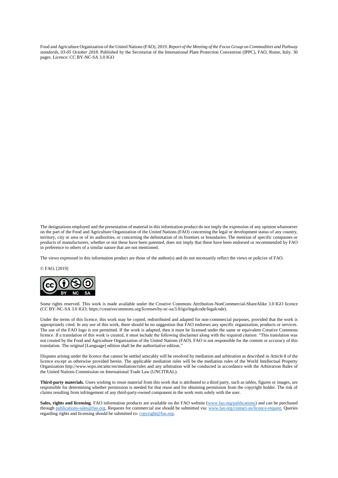Food and Agriculture Organization of the United Nations (FAO), 2019. *Report of the Meeting of the Focus Group on Commodities and Pathway standards, 03-05 October 2018*. Published by the Secretariat of the International Plant Protection Convention (IPPC), FAO, Rome, Italy. 30 pages. Licence: CC BY-NC-SA 3.0 IGO

The designations employed and the presentation of material in this information product do not imply the expression of any opinion whatsoever on the part of the Food and Agriculture Organization of the United Nations (FAO) concerning the legal or development status of any country, territory, city or area or of its authorities, or concerning the delimitation of its frontiers or boundaries. The mention of specific companies or products of manufacturers, whether or not these have been patented, does not imply that these have been endorsed or recommended by FAO in preference to others of a similar nature that are not mentioned.

The views expressed in this information product are those of the author(s) and do not necessarily reflect the views or policies of FAO.

© FAO, [2019]



Some rights reserved. This work is made available under the Creative Commons Attribution-NonCommercial-ShareAlike 3.0 IGO licence (CC BY-NC-SA 3.0 IGO[; https://creativecommons.org/licenses/by-nc-sa/3.0/igo/legalcode/l](https://creativecommons.org/licenses/by-nc-sa/3.0/igo/legalcode)egalcode).

Under the terms of this licence, this work may be copied, redistributed and adapted for non-commercial purposes, provided that the work is appropriately cited. In any use of this work, there should be no suggestion that FAO endorses any specific organization, products or services. The use of the FAO logo is not permitted. If the work is adapted, then it must be licensed under the same or equivalent Creative Commons licence. If a translation of this work is created, it must include the following disclaimer along with the required citation: "This translation was not created by the Food and Agriculture Organization of the United Nations (FAO). FAO is not responsible for the content or accuracy of this translation. The original [Language] edition shall be the authoritative edition."

Disputes arising under the licence that cannot be settled amicably will be resolved by mediation and arbitration as described in Article 8 of the licence except as otherwise provided herein. The applicable mediation rules will be the mediation rules of the World Intellectual Property Organization http://www.wipo.int/amc/en/mediation/rules and any arbitration will be conducted in accordance with the Arbitration Rules of the United Nations Commission on International Trade Law (UNCITRAL).

**Third-party materials.** Users wishing to reuse material from this work that is attributed to a third party, such as tables, figures or images, are responsible for determining whether permission is needed for that reuse and for obtaining permission from the copyright holder. The risk of claims resulting from infringement of any third-party-owned component in the work rests solely with the user.

**Sales, rights and licensing**. FAO information products are available on the FAO website [\(www.fao.org/publications\)](www.fao.org/publications) and can be purchased through [publications-sales@fao.org.](mailto:publications-sales@fao.org) Requests for commercial use should be submitted via[: www.fao.org/contact-us/licence-request.](http://www.fao.org/contact-us/licence-request) Queries regarding rights and licensing should be submitted to[: copyright@fao.org.](mailto:copyright@fao.org)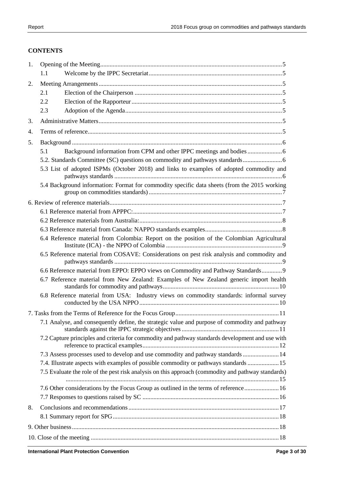## **CONTENTS**

| 1. |     |                                                                                                    |
|----|-----|----------------------------------------------------------------------------------------------------|
|    | 1.1 |                                                                                                    |
| 2. |     |                                                                                                    |
|    | 2.1 |                                                                                                    |
|    | 2.2 |                                                                                                    |
|    | 2.3 |                                                                                                    |
| 3. |     |                                                                                                    |
| 4. |     |                                                                                                    |
| 5. |     |                                                                                                    |
|    | 5.1 |                                                                                                    |
|    |     |                                                                                                    |
|    |     | 5.3 List of adopted ISPMs (October 2018) and links to examples of adopted commodity and            |
|    |     | 5.4 Background information: Format for commodity specific data sheets (from the 2015 working       |
|    |     |                                                                                                    |
|    |     |                                                                                                    |
|    |     |                                                                                                    |
|    |     |                                                                                                    |
|    |     | 6.4 Reference material from Colombia: Report on the position of the Colombian Agricultural         |
|    |     | 6.5 Reference material from COSAVE: Considerations on pest risk analysis and commodity and         |
|    |     | 6.6 Reference material from EPPO: EPPO views on Commodity and Pathway Standards 9                  |
|    |     | 6.7 Reference material from New Zealand: Examples of New Zealand generic import health             |
|    |     | 6.8 Reference material from USA: Industry views on commodity standards: informal survey            |
|    |     |                                                                                                    |
|    |     | 7.1 Analyse, and consequently define, the strategic value and purpose of commodity and pathway     |
|    |     | 7.2 Capture principles and criteria for commodity and pathway standards development and use with   |
|    |     | 7.3 Assess processes used to develop and use commodity and pathway standards  14                   |
|    |     | 7.4. Illustrate aspects with examples of possible commodity or pathways standards  15              |
|    |     | 7.5 Evaluate the role of the pest risk analysis on this approach (commodity and pathway standards) |
|    |     | 7.6 Other considerations by the Focus Group as outlined in the terms of reference 16               |
|    |     |                                                                                                    |
| 8. |     |                                                                                                    |
|    |     |                                                                                                    |
|    |     |                                                                                                    |
|    |     |                                                                                                    |
|    |     |                                                                                                    |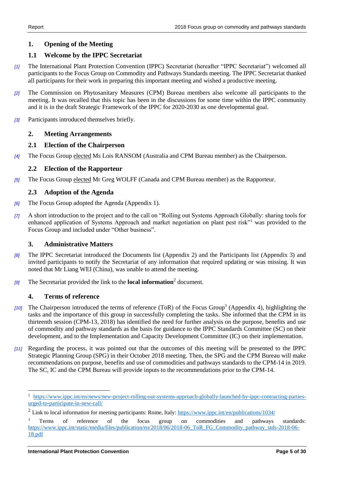## <span id="page-4-0"></span>**1. Opening of the Meeting**

## <span id="page-4-1"></span>**1.1 Welcome by the IPPC Secretariat**

- *[1]* The International Plant Protection Convention (IPPC) Secretariat (hereafter "IPPC Secretariat") welcomed all participants to the Focus Group on Commodity and Pathways Standards meeting. The IPPC Secretariat thanked all participants for their work in preparing this important meeting and wished a productive meeting.
- *[2]* The Commission on Phytosanitary Measures (CPM) Bureau members also welcome all participants to the meeting. It was recalled that this topic has been in the discussions for some time within the IPPC community and it is in the draft Strategic Framework of the IPPC for 2020-2030 as one developmental goal.
- *[3]* Participants introduced themselves briefly.

## <span id="page-4-2"></span>**2. Meeting Arrangements**

#### <span id="page-4-3"></span>**2.1 Election of the Chairperson**

*[4]* The Focus Group elected Ms Lois RANSOM (Australia and CPM Bureau member) as the Chairperson.

#### <span id="page-4-4"></span>**2.2 Election of the Rapporteur**

*[5]* The Focus Group elected Mr Greg WOLFF (Canada and CPM Bureau member) as the Rapporteur.

## <span id="page-4-5"></span>**2.3 Adoption of the Agenda**

- *[6]* The Focus Group adopted the Agenda (Appendix 1).
- *[7]* A short introduction to the project and to the call on "Rolling out Systems Approach Globally: sharing tools for enhanced application of Systems Approach and market negotiation on plant pest risk"<sup>1</sup> was provided to the Focus Group and included under "Other business".

## <span id="page-4-6"></span>**3. Administrative Matters**

- *[8]* The IPPC Secretariat introduced the Documents list (Appendix 2) and the Participants list (Appendix 3) and invited participants to notify the Secretariat of any information that required updating or was missing. It was noted that Mr Liang WEI (China), was unable to attend the meeting.
- *[9]* The Secretariat provided the link to the **local information**<sup>2</sup> document.

#### <span id="page-4-7"></span>**4. Terms of reference**

 $\overline{a}$ 

- [10] The Chairperson introduced the terms of reference (ToR) of the Focus Group<sup>3</sup> (Appendix 4), highlighting the tasks and the importance of this group in successfully completing the tasks. She informed that the CPM in its thirteenth session (CPM-13, 2018) has identified the need for further analysis on the purpose, benefits and use of commodity and pathway standards as the basis for guidance to the IPPC Standards Committee (SC) on their development, and to the Implementation and Capacity Development Committee (IC) on their implementation.
- *[11]* Regarding the process, it was pointed out that the outcomes of this meeting will be presented to the IPPC Strategic Planning Group (SPG) in their October 2018 meeting. Then, the SPG and the CPM Bureau will make recommendations on purpose, benefits and use of commodities and pathways standards to the CPM-14 in 2019. The SC, IC and the CPM Bureau will provide inputs to the recommendations prior to the CPM-14.

<sup>1</sup> [https://www.ippc.int/en/news/new-project-rolling-out-systems-approach-globally-launched-by-ippc-contracting-parties](https://www.ippc.int/en/news/new-project-rolling-out-systems-approach-globally-launched-by-ippc-contracting-parties-urged-to-participate-in-new-call/)[urged-to-participate-in-new-call/](https://www.ippc.int/en/news/new-project-rolling-out-systems-approach-globally-launched-by-ippc-contracting-parties-urged-to-participate-in-new-call/)

<sup>&</sup>lt;sup>2</sup> Link to local information for meeting participants: Rome, Italy:  $\frac{https://www.ippc.int/en/publications/1034/}{https://www.ippc.int/en/publications/1034/}$ 

<sup>&</sup>lt;sup>3</sup> Terms of reference of the focus group on commodities and pathways standards: [https://www.ippc.int/static/media/files/publication/en/2018/06/2018-06\\_ToR\\_FG\\_Commodity\\_pathway\\_stds-2018-06-](https://www.ippc.int/static/media/files/publication/en/2018/06/2018-06_ToR_FG_Commodity_pathway_stds-2018-06-18.pdf) [18.pdf](https://www.ippc.int/static/media/files/publication/en/2018/06/2018-06_ToR_FG_Commodity_pathway_stds-2018-06-18.pdf)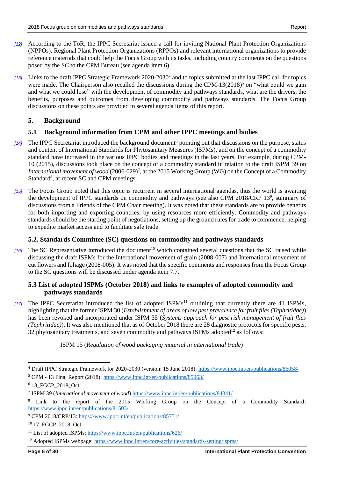- *[12]* According to the ToR, the IPPC Secretariat issued a call for inviting National Plant Protection Organizations (NPPOs), Regional Plant Protection Organizations (RPPOs) and relevant international organizations to provide reference materials that could help the Focus Group with its tasks, including country comments on the questions posed by the SC to the CPM Bureau (see agenda item 6).
- *[13]* Links to the draft IPPC Strategic Framework 2020-2030<sup>4</sup> and to topics submitted at the last IPPC call for topics were made. The Chairperson also recalled the discussions during the CPM-13(2018)<sup>5</sup> on "what could we gain and what we could lose" with the development of commodity and pathways standards, what are the drivers, the benefits, purposes and outcomes from developing commodity and pathways standards. The Focus Group discussions on these points are provided in several agenda items of this report.

## <span id="page-5-0"></span>**5. Background**

## <span id="page-5-1"></span>**5.1 Background information from CPM and other IPPC meetings and bodies**

- [14] The IPPC Secretariat introduced the background document<sup>6</sup> pointing out that discussions on the purpose, status and content of International Standards for Phytosanitary Measures (ISPMs), and on the concept of a commodity standard have increased in the various IPPC bodies and meetings in the last years. For example, during CPM-10 (2015), discussions took place on the concept of a commodity standard in relation to the draft ISPM 39 on International movement of wood (2006-029)<sup>7</sup>, at the 2015 Working Group (WG) on the Concept of a Commodity Standard<sup>8</sup>, at recent SC and CPM meetings.
- *[15]* The Focus Group noted that this topic is recurrent in several international agendas, thus the world is awaiting the development of IPPC standards on commodity and pathways (see also CPM 2018/CRP 13<sup>9</sup>, summary of discussions from a Friends of the CPM Chair meeting). It was noted that these standards are to provide benefits for both importing and exporting countries, by using resources more efficiently. Commodity and pathways standards should be the starting point of negotiations, setting up the ground rules for trade to commence, helping to expedite market access and to facilitate safe trade.

#### <span id="page-5-2"></span>**5.2. Standards Committee (SC) questions on commodity and pathways standards**

 $[16]$  The SC Representative introduced the document<sup>10</sup> which contained several questions that the SC raised while discussing the draft ISPMs for the International movement of grain (2008-007) and International movement of cut flowers and foliage (2008-005). It was noted that the specific comments and responses from the Focus Group to the SC questions will be discussed under agenda item 7.7.

#### <span id="page-5-3"></span>**5.3 List of adopted ISPMs (October 2018) and links to examples of adopted commodity and pathways standards**

- *[17]* The IPPC Secretariat introduced the list of adopted ISPMs<sup>11</sup> outlining that currently there are 41 ISPMs, highlighting that the former ISPM 30 (*[Establishment of areas of low pest prevalence for fruit flies \(Tephritidae\)](https://www.ippc.int/en/publications/589/)*) has been revoked and incorporated under ISPM 35 (*Systems approach for pest risk management of fruit flies (Tephritidae)*). It was also mentioned that as of October 2018 there are 28 diagnostic protocols for specific pests, 32 phytosanitary treatments, and seven commodity and pathways ISPMs adopted<sup>12</sup> as follows:
	- ISPM 15 (*Regulation of wood packaging material in international trade*)

 $\overline{a}$ 

<sup>&</sup>lt;sup>4</sup> Draft IPPC Strategic Framework for 2020-2030 (version: 15 June 2018):<https://www.ippc.int/en/publications/86058/>

<sup>5</sup> CPM - 13 Final Report (2018):<https://www.ippc.int/en/publications/85963/>

<sup>6</sup> 18\_FGCP\_2018\_Oct

<sup>7</sup> ISPM 39 (*International movement of wood*)<https://www.ippc.int/en/publications/84341/>

<sup>8</sup> [Link to the report of the 2015 Working Group on the Concept of a Commodity Standard:](https://www.ippc.int/en/publications/81503/) <https://www.ippc.int/en/publications/81503/>

<sup>9</sup> CPM 2018/CRP/13:<https://www.ippc.int/en/publications/85751/>

<sup>10</sup> 17\_FGCP\_2018\_Oct

<sup>11</sup> List of adopted ISPMs:<https://www.ippc.int/en/publications/626/>

<sup>&</sup>lt;sup>12</sup> Adopted ISPMs webpage:<https://www.ippc.int/en/core-activities/standards-setting/ispms/>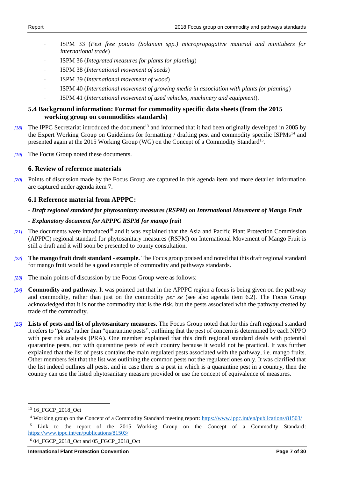- ISPM 33 (*Pest free potato (Solanum spp.) micropropagative material and minitubers for international trade*)
- ISPM 36 (*Integrated measures for plants for planting*)
- ISPM 38 (*International movement of seeds*)
- ISPM 39 (*International movement of wood*)
- ISPM 40 (*International movement of growing media in association with plants for planting*)
- ISPM 41 (*International movement of used vehicles, machinery and equipment*).

#### <span id="page-6-0"></span>**5.4 Background information: Format for commodity specific data sheets (from the 2015 working group on commodities standards)**

- [18] The IPPC Secretariat introduced the document<sup>13</sup> and informed that it had been originally developed in 2005 by the Expert Working Group on Guidelines for formatting / drafting pest and commodity specific ISPMs<sup>14</sup> and presented again at the 2015 Working Group (WG) on the Concept of a Commodity Standard<sup>15</sup>.
- *[19]* The Focus Group noted these documents.

#### <span id="page-6-1"></span>**6. Review of reference materials**

*[20]* Points of discussion made by the Focus Group are captured in this agenda item and more detailed information are captured under agenda item 7.

#### <span id="page-6-2"></span>**6.1 Reference material from APPPC:**

#### *- Draft regional standard for phytosanitary measures (RSPM) on International Movement of Mango Fruit*

#### *- Explanatory document for APPPC RSPM for mango fruit*

- *[21]* The documents were introduced<sup>16</sup> and it was explained that the Asia and Pacific Plant Protection Commission (APPPC) regional standard for phytosanitary measures (RSPM) on International Movement of Mango Fruit is still a draft and it will soon be presented to county consultation.
- *[22]* **The mango fruit draft standard - example.** The Focus group praised and noted that this draft regional standard for mango fruit would be a good example of commodity and pathways standards.
- *[23]* The main points of discussion by the Focus Group were as follows:
- *[24]* **Commodity and pathway.** It was pointed out that in the APPPC region a focus is being given on the pathway and commodity*,* rather than just on the commodity *per se* (see also agenda item 6.2). The Focus Group acknowledged that it is not the commodity that is the risk, but the pests associated with the pathway created by trade of the commodity.
- *[25]* **Lists of pests and list of phytosanitary measures.** The Focus Group noted that for this draft regional standard it refers to "pests" rather than "quarantine pests", outlining that the pest of concern is determined by each NPPO with pest risk analysis (PRA). One member explained that this draft regional standard deals with potential quarantine pests, not with quarantine pests of each country because it would not be practical. It was further explained that the list of pests contains the main regulated pests associated with the pathway, i.e. mango fruits. Other members felt that the list was outlining the common pests not the regulated ones only. It was clarified that the list indeed outlines all pests, and in case there is a pest in which is a quarantine pest in a country, then the country can use the listed phytosanitary measure provided or use the concept of equivalence of measures.

<sup>13</sup> 16\_FGCP\_2018\_Oct

<sup>14</sup> Working group on the Concept of a Commodity Standard meeting report:<https://www.ippc.int/en/publications/81503/>

<sup>&</sup>lt;sup>15</sup> [Link to the report of the 2015 Working Group on the Concept of a Commodity Standard:](https://www.ippc.int/en/publications/81503/) <https://www.ippc.int/en/publications/81503/>

<sup>&</sup>lt;sup>16</sup> 04 FGCP 2018 Oct and 05 FGCP 2018 Oct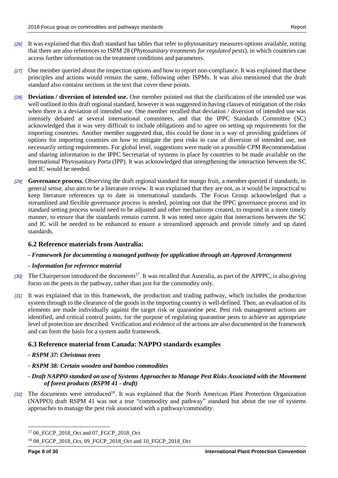- *[26]* It was explained that this draft standard has tables that refer to phytosanitary measures options available, noting that there are also references to ISPM 28 (*Phytosanitary treatments for regulated pests*), in which countries can access further information on the treatment conditions and parameters.
- *[27]* One member queried about the inspection options and how to report non-compliance. It was explained that these principles and actions would remain the same, following other ISPMs. It was also mentioned that the draft standard also contains sections in the text that cover these points.
- *[28]* **Deviation / diversion of intended use.** One member pointed out that the clarification of the intended use was well outlined in this draft regional standard, however it was suggested in having classes of mitigation of the risks when there is a deviation of intended use. One member recalled that deviation / diversion of intended use was intensely debated at several international committees, and that the IPPC Standards Committee (SC) acknowledged that it was very difficult to include obligations and to agree on setting up requirements for the importing countries. Another member suggested that, this could be done in a way of providing guidelines of options for importing countries on how to mitigate the pest risks in case of diversion of intended use, not necessarily setting requirements. For global level, suggestions were made on a possible CPM Recommendation and sharing information to the IPPC Secretariat of systems in place by countries to be made available on the International Phytosanitary Porta (IPP). It was acknowledged that strengthening the interaction between the SC and IC would be needed.
- *[29]* **Governance process.** Observing the draft regional standard for mango fruit, a member queried if standards, in general sense, also aim to be a literature review. It was explained that they are not, as it would be impractical to keep literature references up to date in international standards. The Focus Group acknowledged that a streamlined and flexible governance process is needed, pointing out that the IPPC governance process and its standard setting process would need to be adjusted and other mechanisms created, to respond in a more timely manner, to ensure that the standards remain current. It was noted once again that interactions between the SC and IC will be needed to be enhanced to ensure a streamlined approach and provide timely and up dated standards.

#### <span id="page-7-0"></span>**6.2 Reference materials from Australia:**

#### *- Framework for documenting a managed pathway for application through an Approved Arrangement*

#### *- Information for reference material*

- [30] The Chairperson introduced the documents<sup>17</sup>. It was recalled that Australia, as part of the APPPC, is also giving focus on the pests in the pathway, rather than just for the commodity only.
- *[31]* It was explained that in this framework, the production and trading pathway, which includes the production system through to the clearance of the goods in the importing country is well-defined. Then, an evaluation of its elements are made individually against the target risk or quarantine pest. Pest risk management actions are identified, and critical control points, for the purpose of regulating quarantine pests to achieve an appropriate level of protection are described. Verification and evidence of the actions are also documented in the framework and can form the basis for a system audit framework.

## <span id="page-7-1"></span>**6.3 Reference material from Canada: NAPPO standards examples**

#### *- RSPM 37: Christmas trees*

*- RSPM 38: Certain wooden and bamboo commodities*

#### *- Draft NAPPO standard on use of Systems Approaches to Manage Pest Risks Associated with the Movement of forest products (RSPM 41 - draft)*

[32] The documents were introduced<sup>18</sup>. It was explained that the North American Plant Protection Organization (NAPPO) draft RSPM 41 was not a true "commodity and pathway" standard but about the use of systems approaches to manage the pest risk associated with a pathway/commodity.

<sup>17</sup> 06\_FGCP\_2018\_Oct and 07\_FGCP\_2018\_Oct

<sup>&</sup>lt;sup>18</sup> 08 FGCP 2018 Oct, 09 FGCP 2018 Oct and 10 FGCP 2018 Oct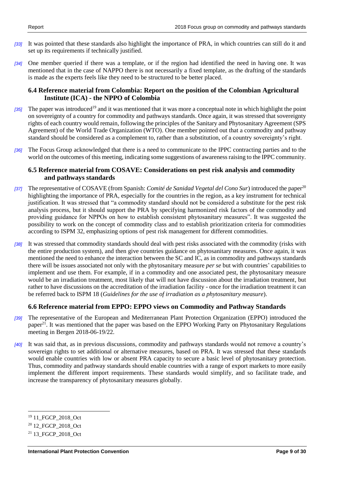- *[33]* It was pointed that these standards also highlight the importance of PRA, in which countries can still do it and set up its requirements if technically justified.
- *[34]* One member queried if there was a template, or if the region had identified the need in having one. It was mentioned that in the case of NAPPO there is not necessarily a fixed template, as the drafting of the standards is made as the experts feels like they need to be structured to be better placed.

#### <span id="page-8-0"></span>**6.4 Reference material from Colombia: Report on the position of the Colombian Agricultural Institute (ICA) - the NPPO of Colombia**

- *[35]* The paper was introduced<sup>19</sup> and it was mentioned that it was more a conceptual note in which highlight the point on sovereignty of a country for commodity and pathways standards. Once again, it was stressed that sovereignty rights of each country would remain, following the principles of the Sanitary and Phytosanitary Agreement (SPS Agreement) of the World Trade Organization (WTO). One member pointed out that a commodity and pathway standard should be considered as a complement to, rather than a substitution, of a country sovereignty's right.
- *[36]* The Focus Group acknowledged that there is a need to communicate to the IPPC contracting parties and to the world on the outcomes of this meeting, indicating some suggestions of awareness raising to the IPPC community.

#### <span id="page-8-1"></span>**6.5 Reference material from COSAVE: Considerations on pest risk analysis and commodity and pathways standards**

- *[37]* The representative of COSAVE (from Spanish: *Comité de Sanidad Vegetal del Cono Sur*) introduced the paper<sup>20</sup> highlighting the importance of PRA, especially for the countries in the region, as a key instrument for technical justification. It was stressed that "a commodity standard should not be considered a substitute for the pest risk analysis process, but it should support the PRA by specifying harmonized risk factors of the commodity and providing guidance for NPPOs on how to establish consistent phytosanitary measures". It was suggested the possibility to work on the concept of commodity class and to establish prioritization criteria for commodities according to ISPM 32, emphasizing options of pest risk management for different commodities.
- *[38]* It was stressed that commodity standards should deal with pest risks associated with the commodity (risks with the entire production system), and then give countries guidance on phytosanitary measures. Once again, it was mentioned the need to enhance the interaction between the SC and IC, as in commodity and pathways standards there will be issues associated not only with the phytosanitary measure *per se* but with countries' capabilities to implement and use them. For example, if in a commodity and one associated pest, the phytosanitary measure would be an irradiation treatment, most likely that will not have discussion about the irradiation treatment, but rather to have discussions on the accreditation of the irradiation facility - once for the irradiation treatment it can be referred back to ISPM 18 (*Guidelines for the use of irradiation as a phytosanitary measure*).

#### <span id="page-8-2"></span>**6.6 Reference material from EPPO: EPPO views on Commodity and Pathway Standards**

- *[39]* The representative of the European and Mediterranean Plant Protection Organization (EPPO) introduced the paper<sup>21</sup>. It was mentioned that the paper was based on the EPPO Working Party on Phytosanitary Regulations meeting in Bergen 2018-06-19/22.
- *[40]* It was said that, as in previous discussions, commodity and pathways standards would not remove a country's sovereign rights to set additional or alternative measures, based on PRA. It was stressed that these standards would enable countries with low or absent PRA capacity to secure a basic level of phytosanitary protection. Thus, commodity and pathway standards should enable countries with a range of export markets to more easily implement the different import requirements. These standards would simplify, and so facilitate trade, and increase the transparency of phytosanitary measures globally.

 $\overline{a}$ 

<sup>&</sup>lt;sup>19</sup> 11 FGCP 2018 Oct

<sup>20</sup> 12\_FGCP\_2018\_Oct

<sup>21</sup> 13\_FGCP\_2018\_Oct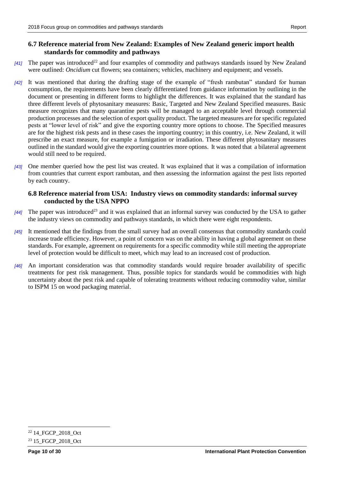#### <span id="page-9-0"></span>**6.7 Reference material from New Zealand: Examples of New Zealand generic import health standards for commodity and pathways**

- [41] The paper was introduced<sup>22</sup> and four examples of commodity and pathways standards issued by New Zealand were outlined: *Oncidium* cut flowers; sea containers; vehicles, machinery and equipment; and vessels.
- *[42]* It was mentioned that during the drafting stage of the example of "fresh rambutan" standard for human consumption, the requirements have been clearly differentiated from guidance information by outlining in the document or presenting in different forms to highlight the differences. It was explained that the standard has three different levels of phytosanitary measures: Basic, Targeted and New Zealand Specified measures. Basic measure recognizes that many quarantine pests will be managed to an acceptable level through commercial production processes and the selection of export quality product. The targeted measures are for specific regulated pests at "lower level of risk" and give the exporting country more options to choose. The Specified measures are for the highest risk pests and in these cases the importing country; in this country, i.e. New Zealand, it will prescribe an exact measure, for example a fumigation or irradiation. These different phytosanitary measures outlined in the standard would give the exporting countries more options. It was noted that a bilateral agreement would still need to be required.
- *[43]* One member queried how the pest list was created. It was explained that it was a compilation of information from countries that current export rambutan, and then assessing the information against the pest lists reported by each country.

#### <span id="page-9-1"></span>**6.8 Reference material from USA: Industry views on commodity standards: informal survey conducted by the USA NPPO**

- *[44]* The paper was introduced <sup>23</sup> and it was explained that an informal survey was conducted by the USA to gather the industry views on commodity and pathways standards, in which there were eight respondents.
- *[45]* It mentioned that the findings from the small survey had an overall consensus that commodity standards could increase trade efficiency. However, a point of concern was on the ability in having a global agreement on these standards. For example, agreement on requirements for a specific commodity while still meeting the appropriate level of protection would be difficult to meet, which may lead to an increased cost of production.
- <span id="page-9-2"></span>*[46]* An important consideration was that commodity standards would require broader availability of specific treatments for pest risk management. Thus, possible topics for standards would be commodities with high uncertainty about the pest risk and capable of tolerating treatments without reducing commodity value, similar to ISPM 15 on wood packaging material.

<sup>22</sup> 14\_FGCP\_2018\_Oct

<sup>&</sup>lt;sup>23</sup> 15 FGCP 2018 Oct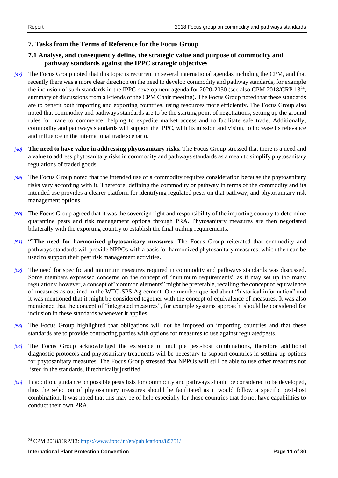## **7. Tasks from the Terms of Reference for the Focus Group**

## <span id="page-10-0"></span>**7.1 Analyse, and consequently define, the strategic value and purpose of commodity and pathway standards against the IPPC strategic objectives**

- *[47]* The Focus Group noted that this topic is recurrent in several international agendas including the CPM, and that recently there was a more clear direction on the need to develop commodity and pathway standards, for example the inclusion of such standards in the IPPC development agenda for 2020-2030 (see also CPM 2018/CRP 13<sup>24</sup>, summary of discussions from a Friends of the CPM Chair meeting). The Focus Group noted that these standards are to benefit both importing and exporting countries, using resources more efficiently. The Focus Group also noted that commodity and pathways standards are to be the starting point of negotiations, setting up the ground rules for trade to commence, helping to expedite market access and to facilitate safe trade. Additionally, commodity and pathways standards will support the IPPC, with its mission and vision, to increase its relevance and influence in the international trade scenario.
- *[48]* **The need to have value in addressing phytosanitary risks.** The Focus Group stressed that there is a need and a value to address phytosanitary risks in commodity and pathways standards as a mean to simplify phytosanitary regulations of traded goods.
- *[49]* The Focus Group noted that the intended use of a commodity requires consideration because the phytosanitary risks vary according with it. Therefore, defining the commodity or pathway in terms of the commodity and its intended use provides a clearer platform for identifying regulated pests on that pathway, and phytosanitary risk management options.
- *[50]* The Focus Group agreed that it was the sovereign right and responsibility of the importing country to determine quarantine pests and risk management options through PRA. Phytosanitary measures are then negotiated bilaterally with the exporting country to establish the final trading requirements.
- *[51]* ""**The need for harmonized phytosanitary measures.** The Focus Group reiterated that commodity and pathways standards will provide NPPOs with a basis for harmonized phytosanitary measures, which then can be used to support their pest risk management activities.
- *[52]* The need for specific and minimum measures required in commodity and pathways standards was discussed. Some members expressed concerns on the concept of "minimum requirements" as it may set up too many regulations; however, a concept of "common elements" might be preferable, recalling the concept of equivalence of measures as outlined in the WTO-SPS Agreement. One member queried about "historical information" and it was mentioned that it might be considered together with the concept of equivalence of measures. It was also mentioned that the concept of "integrated measures", for example systems approach, should be considered for inclusion in these standards whenever it applies.
- *[53]* The Focus Group highlighted that obligations will not be imposed on importing countries and that these standards are to provide contracting parties with options for measures to use against regulatedpests.
- *[54]* The Focus Group acknowledged the existence of multiple pest-host combinations, therefore additional diagnostic protocols and phytosanitary treatments will be necessary to support countries in setting up options for phytosanitary measures. The Focus Group stressed that NPPOs will still be able to use other measures not listed in the standards, if technically justified.
- *[55]* In addition, guidance on possible pests lists for commodity and pathways should be considered to be developed, thus the selection of phytosanitary measures should be facilitated as it would follow a specific pest-host combination. It was noted that this may be of help especially for those countries that do not have capabilities to conduct their own PRA.

<sup>24</sup> CPM 2018/CRP/13:<https://www.ippc.int/en/publications/85751/>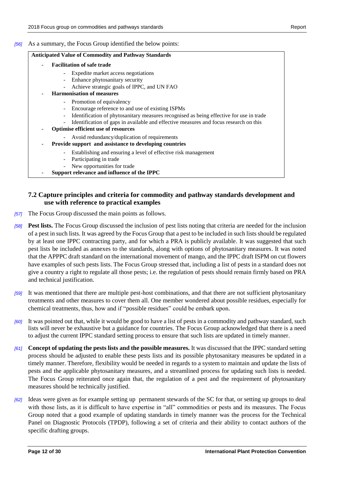#### *[56]* As a summary, the Focus Group identified the below points:

| <b>Anticipated Value of Commodity and Pathway Standards</b>                                                                                                                                                                                                                                                               |  |  |  |  |  |  |
|---------------------------------------------------------------------------------------------------------------------------------------------------------------------------------------------------------------------------------------------------------------------------------------------------------------------------|--|--|--|--|--|--|
| <b>Facilitation of safe trade</b>                                                                                                                                                                                                                                                                                         |  |  |  |  |  |  |
| Expedite market access negotiations<br>Enhance phytosanitary security<br>Achieve strategic goals of IPPC, and UN FAO<br><b>Harmonisation of measures</b>                                                                                                                                                                  |  |  |  |  |  |  |
| Promotion of equivalency<br>$\blacksquare$<br>Encourage reference to and use of existing ISPMs<br>Identification of phytosanitary measures recognised as being effective for use in trade<br>Identification of gaps in available and effective measures and focus research on this<br>Optimise efficient use of resources |  |  |  |  |  |  |
| Avoid redundancy/duplication of requirements<br>Provide support and assistance to developing countries                                                                                                                                                                                                                    |  |  |  |  |  |  |
| Establishing and ensuring a level of effective risk management<br>۰<br>Participating in trade<br>New opportunities for trade<br>Support relevance and influence of the IPPC                                                                                                                                               |  |  |  |  |  |  |

#### <span id="page-11-0"></span>**7.2 Capture principles and criteria for commodity and pathway standards development and use with reference to practical examples**

- *[57]* The Focus Group discussed the main points as follows.
- *[58]* **Pest lists.** The Focus Group discussed the inclusion of pest lists noting that criteria are needed for the inclusion of a pest in such lists. It was agreed by the Focus Group that a pest to be included in such lists should be regulated by at least one IPPC contracting party, and for which a PRA is publicly available. It was suggested that such pest lists be included as annexes to the standards, along with options of phytosanitary measures. It was noted that the APPPC draft standard on the international movement of mango, and the IPPC draft ISPM on cut flowers have examples of such pests lists. The Focus Group stressed that, including a list of pests in a standard does not give a country a right to regulate all those pests; i.e. the regulation of pests should remain firmly based on PRA and technical justification.
- *[59]* It was mentioned that there are multiple pest-host combinations, and that there are not sufficient phytosanitary treatments and other measures to cover them all. One member wondered about possible residues, especially for chemical treatments, thus, how and if "possible residues" could be embark upon.
- *[60]* It was pointed out that, while it would be good to have a list of pests in a commodity and pathway standard, such lists will never be exhaustive but a guidance for countries. The Focus Group acknowledged that there is a need to adjust the current IPPC standard setting process to ensure that such lists are updated in timely manner.
- *[61]* **Concept of updating the pests lists and the possible measures.** It was discussed that the IPPC standard setting process should be adjusted to enable these pests lists and its possible phytosanitary measures be updated in a timely manner. Therefore, flexibility would be needed in regards to a system to maintain and update the lists of pests and the applicable phytosanitary measures, and a streamlined process for updating such lists is needed. The Focus Group reiterated once again that, the regulation of a pest and the requirement of phytosanitary measures should be technically justified.
- *[62]* Ideas were given as for example setting up permanent stewards of the SC for that, or setting up groups to deal with those lists, as it is difficult to have expertise in "all" commodities or pests and its measures. The Focus Group noted that a good example of updating standards in timely manner was the process for the Technical Panel on Diagnostic Protocols (TPDP), following a set of criteria and their ability to contact authors of the specific drafting groups.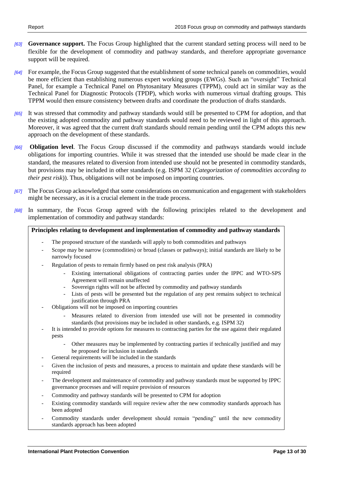- *[63]* **Governance support.** The Focus Group highlighted that the current standard setting process will need to be flexible for the development of commodity and pathway standards, and therefore appropriate governance support will be required.
- *[64]* For example, the Focus Group suggested that the establishment of some technical panels on commodities, would be more efficient than establishing numerous expert working groups (EWGs). Such an "oversight" Technical Panel, for example a Technical Panel on Phytosanitary Measures (TPPM), could act in similar way as the Technical Panel for Diagnostic Protocols (TPDP), which works with numerous virtual drafting groups. This TPPM would then ensure consistency between drafts and coordinate the production of drafts standards.
- *[65]* It was stressed that commodity and pathway standards would still be presented to CPM for adoption, and that the existing adopted commodity and pathway standards would need to be reviewed in light of this approach. Moreover, it was agreed that the current draft standards should remain pending until the CPM adopts this new approach on the development of these standards.
- *[66]* **Obligation level**. The Focus Group discussed if the commodity and pathways standards would include obligations for importing countries. While it was stressed that the intended use should be made clear in the standard, the measures related to diversion from intended use should not be presented in commodity standards, but provisions may be included in other standards (e.g. ISPM 32 (*Categorization of commodities according to their pest risk*)). Thus, obligations will not be imposed on importing countries.
- *[67]* The Focus Group acknowledged that some considerations on communication and engagement with stakeholders might be necessary, as it is a crucial element in the trade process.
- *[68]* In summary, the Focus Group agreed with the following principles related to the development and implementation of commodity and pathway standards:

#### **Principles relating to development and implementation of commodity and pathway standards**

- The proposed structure of the standards will apply to both commodities and pathways
- Scope may be narrow (commodities) or broad (classes or pathways); initial standards are likely to be narrowly focused
- Regulation of pests to remain firmly based on pest risk analysis (PRA)
	- Existing international obligations of contracting parties under the IPPC and WTO-SPS Agreement will remain unaffected
	- Sovereign rights will not be affected by commodity and pathway standards
	- Lists of pests will be presented but the regulation of any pest remains subject to technical justification through PRA
- Obligations will not be imposed on importing countries
	- Measures related to diversion from intended use will not be presented in commodity standards (but provisions may be included in other standards, e.g. ISPM 32)
- It is intended to provide options for measures to contracting parties for the use against their regulated pests
	- Other measures may be implemented by contracting parties if technically justified and may be proposed for inclusion in standards
- General requirements will be included in the standards
- Given the inclusion of pests and measures, a process to maintain and update these standards will be required
- The development and maintenance of commodity and pathway standards must be supported by IPPC governance processes and will require provision of resources
- Commodity and pathway standards will be presented to CPM for adoption
- Existing commodity standards will require review after the new commodity standards approach has been adopted
- Commodity standards under development should remain "pending" until the new commodity standards approach has been adopted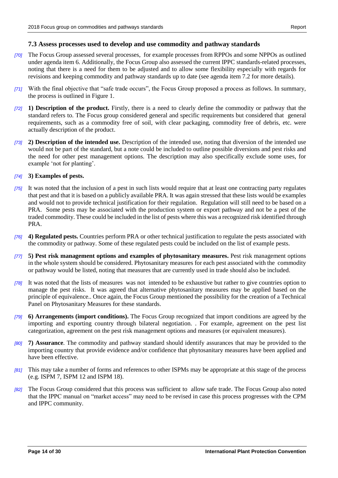#### <span id="page-13-0"></span>**7.3 Assess processes used to develop and use commodity and pathway standards**

- *[70]* The Focus Group assessed several processes, for example processes from RPPOs and some NPPOs as outlined under agenda item 6. Additionally, the Focus Group also assessed the current IPPC standards-related processes, noting that there is a need for them to be adjusted and to allow some flexibility especially with regards for revisions and keeping commodity and pathway standards up to date (see agenda item 7.2 for more details).
- *[71]* With the final objective that "safe trade occurs", the Focus Group proposed a process as follows. In summary, the process is outlined in Figure 1.
- *[72]* **1) Description of the product.** Firstly, there is a need to clearly define the commodity or pathway that the standard refers to. The Focus group considered general and specific requirements but considered that general requirements, such as a commodity free of soil, with clear packaging, commodity free of debris, etc. were actually description of the product.
- *[73]* **2) Description of the intended use.** Description of the intended use, noting that diversion of the intended use would not be part of the standard, but a note could be included to outline possible diversions and pest risks and the need for other pest management options. The description may also specifically exclude some uses, for example 'not for planting'.

#### *[74]* **3) Examples of pests.**

- *[75]* It was noted that the inclusion of a pest in such lists would require that at least one contracting party regulates that pest and that it is based on a publicly available PRA. It was again stressed that these lists would be examples and would not to provide technical justification for their regulation. Regulation will still need to be based on a PRA. Some pests may be associated with the production system or export pathway and not be a pest of the traded commodity. These could be included in the list of pests where this was a recognized risk identified through PRA.
- *[76]* **4) Regulated pests.** Countries perform PRA or other technical justification to regulate the pests associated with the commodity or pathway. Some of these regulated pests could be included on the list of example pests.
- *[77]* **5) Pest risk management options and examples of phytosanitary measures.** Pest risk management options in the whole system should be considered. Phytosanitary measures for each pest associated with the commodity or pathway would be listed, noting that measures that are currently used in trade should also be included.
- *[78]* It was noted that the lists of measures was not intended to be exhaustive but rather to give countries option to manage the pest risks. It was agreed that alternative phytosanitary measures may be applied based on the principle of equivalence.. Once again, the Focus Group mentioned the possibility for the creation of a Technical Panel on Phytosanitary Measures for these standards.
- *[79]* **6) Arrangements (import conditions).** The Focus Group recognized that import conditions are agreed by the importing and exporting country through bilateral negotiation. . For example, agreement on the pest list categorization, agreement on the pest risk management options and measures (or equivalent measures).
- *[80]* **7) Assurance**. The commodity and pathway standard should identify assurances that may be provided to the importing country that provide evidence and/or confidence that phytosanitary measures have been applied and have been effective.
- *[81]* This may take a number of forms and references to other ISPMs may be appropriate at this stage of the process (e.g. ISPM 7, ISPM 12 and ISPM 18).
- *[82]* The Focus Group considered that this process was sufficient to allow safe trade. The Focus Group also noted that the IPPC manual on "market access" may need to be revised in case this process progresses with the CPM and IPPC community.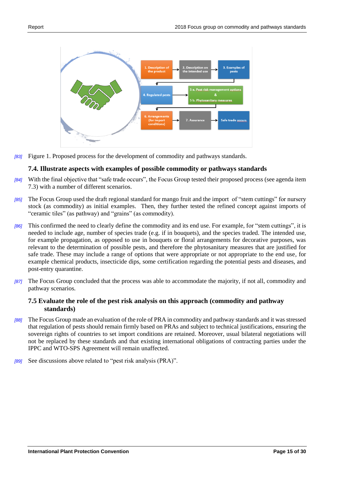

*[83]* Figure 1. Proposed process for the development of commodity and pathways standards.

## <span id="page-14-0"></span>**7.4. Illustrate aspects with examples of possible commodity or pathways standards**

- *[84]* With the final objective that "safe trade occurs", the Focus Group tested their proposed process (see agenda item 7.3) with a number of different scenarios.
- *[85]* The Focus Group used the draft regional standard for mango fruit and the import of "stem cuttings" for nursery stock (as commodity) as initial examples. Then, they further tested the refined concept against imports of "ceramic tiles" (as pathway) and "grains" (as commodity).
- *[86]* This confirmed the need to clearly define the commodity and its end use. For example, for "stem cuttings", it is needed to include age, number of species trade (e.g. if in bouquets), and the species traded. The intended use, for example propagation, as opposed to use in bouquets or floral arrangements for decorative purposes, was relevant to the determination of possible pests, and therefore the phytosanitary measures that are justified for safe trade. These may include a range of options that were appropriate or not appropriate to the end use, for example chemical products, insecticide dips, some certification regarding the potential pests and diseases, and post-entry quarantine.
- *[87]* The Focus Group concluded that the process was able to accommodate the majority, if not all, commodity and pathway scenarios.

## <span id="page-14-1"></span>**7.5 Evaluate the role of the pest risk analysis on this approach (commodity and pathway standards)**

- *[88]* The Focus Group made an evaluation of the role of PRA in commodity and pathway standards and it was stressed that regulation of pests should remain firmly based on PRAs and subject to technical justifications, ensuring the sovereign rights of countries to set import conditions are retained. Moreover, usual bilateral negotiations will not be replaced by these standards and that existing international obligations of contracting parties under the IPPC and WTO-SPS Agreement will remain unaffected.
- <span id="page-14-2"></span>*[89]* See discussions above related to "pest risk analysis (PRA)".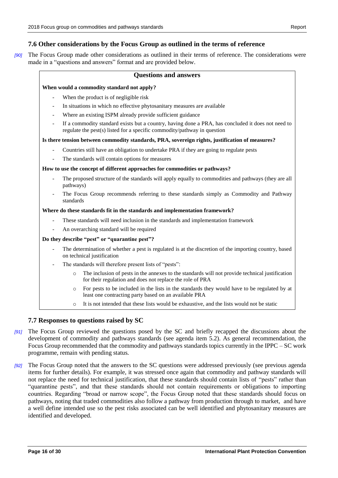#### **7.6 Other considerations by the Focus Group as outlined in the terms of reference**

*[90]* The Focus Group made other considerations as outlined in their terms of reference. The considerations were made in a "questions and answers" format and are provided below.

|                                            | <b>Questions and answers</b>                                                                                                                                                   |  |  |  |  |  |  |
|--------------------------------------------|--------------------------------------------------------------------------------------------------------------------------------------------------------------------------------|--|--|--|--|--|--|
| When would a commodity standard not apply? |                                                                                                                                                                                |  |  |  |  |  |  |
|                                            | When the product is of negligible risk                                                                                                                                         |  |  |  |  |  |  |
|                                            | In situations in which no effective phytosanitary measures are available                                                                                                       |  |  |  |  |  |  |
|                                            | Where an existing ISPM already provide sufficient guidance                                                                                                                     |  |  |  |  |  |  |
|                                            | If a commodity standard exists but a country, having done a PRA, has concluded it does not need to<br>regulate the pest(s) listed for a specific commodity/pathway in question |  |  |  |  |  |  |
|                                            | Is there tension between commodity standards, PRA, sovereign rights, justification of measures?                                                                                |  |  |  |  |  |  |
|                                            | Countries still have an obligation to undertake PRA if they are going to regulate pests                                                                                        |  |  |  |  |  |  |
|                                            | The standards will contain options for measures                                                                                                                                |  |  |  |  |  |  |
|                                            | How to use the concept of different approaches for commodities or pathways?                                                                                                    |  |  |  |  |  |  |
|                                            | The proposed structure of the standards will apply equally to commodities and pathways (they are all<br>pathways)                                                              |  |  |  |  |  |  |
|                                            | The Focus Group recommends referring to these standards simply as Commodity and Pathway<br>standards                                                                           |  |  |  |  |  |  |
|                                            | Where do these standards fit in the standards and implementation framework?                                                                                                    |  |  |  |  |  |  |
|                                            | These standards will need inclusion in the standards and implementation framework                                                                                              |  |  |  |  |  |  |
|                                            | An overarching standard will be required                                                                                                                                       |  |  |  |  |  |  |
|                                            | Do they describe "pest" or "quarantine pest"?                                                                                                                                  |  |  |  |  |  |  |
|                                            | The determination of whether a pest is regulated is at the discretion of the importing country, based<br>on technical justification                                            |  |  |  |  |  |  |
|                                            | The standards will therefore present lists of "pests":                                                                                                                         |  |  |  |  |  |  |
|                                            | The inclusion of pests in the annexes to the standards will not provide technical justification<br>$\circ$<br>for their regulation and does not replace the role of PRA        |  |  |  |  |  |  |
|                                            | For pests to be included in the lists in the standards they would have to be regulated by at<br>$\circ$<br>least one contracting party based on an available PRA               |  |  |  |  |  |  |

 $\circ$  It is not intended that these lists would be exhaustive, and the lists would not be static

#### <span id="page-15-0"></span>**7.7 Responses to questions raised by SC**

- *[91]* The Focus Group reviewed the questions posed by the SC and briefly recapped the discussions about the development of commodity and pathways standards (see agenda item 5.2). As general recommendation, the Focus Group recommended that the commodity and pathways standards topics currently in the IPPC – SC work programme, remain with pending status.
- *[92]* The Focus Group noted that the answers to the SC questions were addressed previously (see previous agenda items for further details). For example, it was stressed once again that commodity and pathway standards will not replace the need for technical justification, that these standards should contain lists of "pests" rather than "quarantine pests", and that these standards should not contain requirements or obligations to importing countries. Regarding "broad or narrow scope", the Focus Group noted that these standards should focus on pathways, noting that traded commodities also follow a pathway from production through to market, and have a well define intended use so the pest risks associated can be well identified and phytosanitary measures are identified and developed.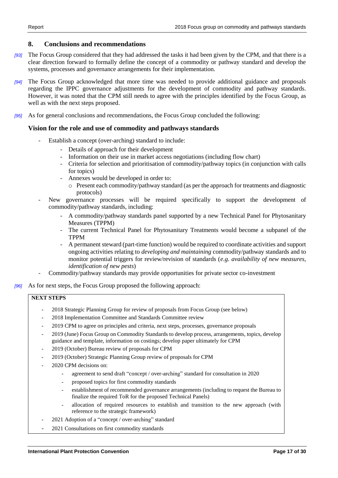#### <span id="page-16-0"></span>**8. Conclusions and recommendations**

- *[93]* The Focus Group considered that they had addressed the tasks it had been given by the CPM, and that there is a clear direction forward to formally define the concept of a commodity or pathway standard and develop the systems, processes and governance arrangements for their implementation.
- *[94]* The Focus Group acknowledged that more time was needed to provide additional guidance and proposals regarding the IPPC governance adjustments for the development of commodity and pathway standards. However, it was noted that the CPM still needs to agree with the principles identified by the Focus Group, as well as with the next steps proposed.
- *[95]* As for general conclusions and recommendations, the Focus Group concluded the following:

#### **Vision for the role and use of commodity and pathways standards**

- Establish a concept (over-arching) standard to include:
	- Details of approach for their development
	- Information on their use in market access negotiations (including flow chart)
	- Criteria for selection and prioritisation of commodity/pathway topics (in conjunction with calls for topics)
	- Annexes would be developed in order to:
		- $\circ$  Present each commodity/pathway standard (as per the approach for treatments and diagnostic protocols)
- New governance processes will be required specifically to support the development of commodity/pathway standards, including:
	- A commodity/pathway standards panel supported by a new Technical Panel for Phytosanitary Measures (TPPM)
	- The current Technical Panel for Phytosanitary Treatments would become a subpanel of the TPPM
	- A permanent steward (part-time function) would be required to coordinate activities and support ongoing activities relating to *developing and maintaining* commodity/pathway standards and to monitor potential triggers for review/revision of standards (*e.g. availability of new measures, identification of new pests*)
- Commodity/pathway standards may provide opportunities for private sector co-investment
- *[96]* As for next steps, the Focus Group proposed the following approach:

#### **NEXT STEPS**

- 2018 Strategic Planning Group for review of proposals from Focus Group (see below)
- 2018 Implementation Committee and Standards Committee review
- 2019 CPM to agree on principles and criteria, next steps, processes, governance proposals
- 2019 (June) Focus Group on Commodity Standards to develop process, arrangements, topics, develop guidance and template, information on costings; develop paper ultimately for CPM
- 2019 (October) Bureau review of proposals for CPM
- 2019 (October) Strategic Planning Group review of proposals for CPM
- 2020 CPM decisions on:
	- agreement to send draft "concept / over-arching" standard for consultation in 2020
	- proposed topics for first commodity standards
	- establishment of recommended governance arrangements (including to request the Bureau to finalize the required ToR for the proposed Technical Panels)
	- allocation of required resources to establish and transition to the new approach (with reference to the strategic framework)
- 2021 Adoption of a "concept / over-arching" standard
- 2021 Consultations on first commodity standards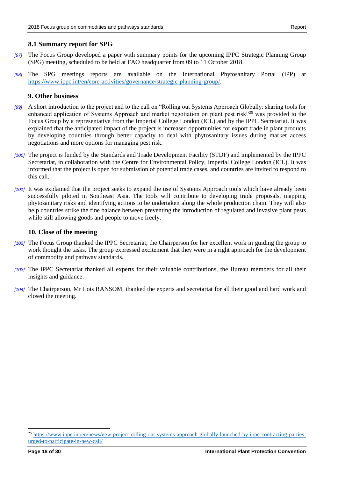#### <span id="page-17-0"></span>**8.1 Summary report for SPG**

- *[97]* The Focus Group developed a paper with summary points for the upcoming IPPC Strategic Planning Group (SPG) meeting, scheduled to be held at FAO headquarter from 09 to 11 October 2018.
- *[98]* The SPG meetings reports are available on the International Phytosanitary Portal (IPP) at [https://www.ippc.int/en/core-activities/governance/strategic-planning-group/.](https://www.ippc.int/en/core-activities/governance/strategic-planning-group/)

#### <span id="page-17-1"></span>**9. Other business**

- *[99]* A short introduction to the project and to the call on "Rolling out Systems Approach Globally: sharing tools for enhanced application of Systems Approach and market negotiation on plant pest risk"<sup>25</sup> was provided to the Focus Group by a representative from the Imperial College London (ICL) and by the IPPC Secretariat. It was explained that the anticipated impact of the project is increased opportunities for export trade in plant products by developing countries through better capacity to deal with phytosanitary issues during market access negotiations and more options for managing pest risk.
- *[100]* The project is funded by the Standards and Trade Development Facility (STDF) and implemented by the IPPC Secretariat, in collaboration with the Centre for Environmental Policy, Imperial College London (ICL). It was informed that the project is open for submission of potential trade cases, and countries are invited to respond to this call.
- *[101]* It was explained that the project seeks to expand the use of Systems Approach tools which have already been successfully piloted in Southeast Asia. The tools will contribute to developing trade proposals, mapping phytosanitary risks and identifying actions to be undertaken along the whole production chain. They will also help countries strike the fine balance between preventing the introduction of regulated and invasive plant pests while still allowing goods and people to move freely.

#### <span id="page-17-2"></span>**10. Close of the meeting**

- *[102]* The Focus Group thanked the IPPC Secretariat, the Chairperson for her excellent work in guiding the group to work thought the tasks. The group expressed excitement that they were in a right approach for the development of commodity and pathway standards.
- *[103]* The IPPC Secretariat thanked all experts for their valuable contributions, the Bureau members for all their insights and guidance.
- *[104]* The Chairperson, Mr Lois RANSOM, thanked the experts and secretariat for all their good and hard work and closed the meeting.

<sup>&</sup>lt;sup>25</sup> [https://www.ippc.int/en/news/new-project-rolling-out-systems-approach-globally-launched-by-ippc-contracting-parties](https://www.ippc.int/en/news/new-project-rolling-out-systems-approach-globally-launched-by-ippc-contracting-parties-urged-to-participate-in-new-call/)[urged-to-participate-in-new-call/](https://www.ippc.int/en/news/new-project-rolling-out-systems-approach-globally-launched-by-ippc-contracting-parties-urged-to-participate-in-new-call/)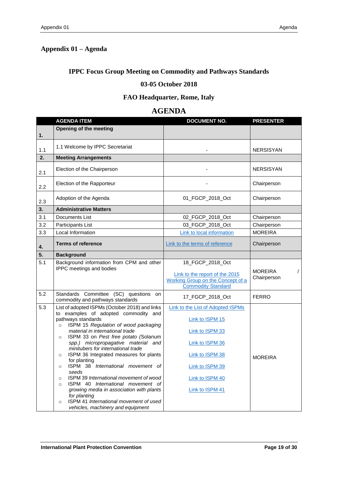## <span id="page-18-0"></span>**Appendix 01 – Agenda**

## **IPPC Focus Group Meeting on Commodity and Pathways Standards**

## **03-05 October 2018**

## **FAO Headquarter, Rome, Italy**

## **AGENDA**

|                  | <b>AGENDA ITEM</b>                                                                                                                                                                                                                                                                                                                                                                                                                                                                                                                                                                                                                                                                                                          | <b>DOCUMENT NO.</b>                                                                                                                                                           | <b>PRESENTER</b>       |
|------------------|-----------------------------------------------------------------------------------------------------------------------------------------------------------------------------------------------------------------------------------------------------------------------------------------------------------------------------------------------------------------------------------------------------------------------------------------------------------------------------------------------------------------------------------------------------------------------------------------------------------------------------------------------------------------------------------------------------------------------------|-------------------------------------------------------------------------------------------------------------------------------------------------------------------------------|------------------------|
| 1.               | Opening of the meeting                                                                                                                                                                                                                                                                                                                                                                                                                                                                                                                                                                                                                                                                                                      |                                                                                                                                                                               |                        |
| 1.1              | 1.1 Welcome by IPPC Secretariat                                                                                                                                                                                                                                                                                                                                                                                                                                                                                                                                                                                                                                                                                             |                                                                                                                                                                               | <b>NERSISYAN</b>       |
| 2.               | <b>Meeting Arrangements</b>                                                                                                                                                                                                                                                                                                                                                                                                                                                                                                                                                                                                                                                                                                 |                                                                                                                                                                               |                        |
| 2.1              | Election of the Chairperson                                                                                                                                                                                                                                                                                                                                                                                                                                                                                                                                                                                                                                                                                                 |                                                                                                                                                                               | <b>NERSISYAN</b>       |
| $2.2\phantom{0}$ | Election of the Rapporteur                                                                                                                                                                                                                                                                                                                                                                                                                                                                                                                                                                                                                                                                                                  |                                                                                                                                                                               | Chairperson            |
| 2.3              | Adoption of the Agenda                                                                                                                                                                                                                                                                                                                                                                                                                                                                                                                                                                                                                                                                                                      | 01_FGCP_2018_Oct                                                                                                                                                              | Chairperson            |
| 3.               | <b>Administrative Matters</b>                                                                                                                                                                                                                                                                                                                                                                                                                                                                                                                                                                                                                                                                                               |                                                                                                                                                                               |                        |
| 3.1              | Documents List                                                                                                                                                                                                                                                                                                                                                                                                                                                                                                                                                                                                                                                                                                              | 02_FGCP_2018_Oct                                                                                                                                                              | Chairperson            |
| 3.2              | Participants List                                                                                                                                                                                                                                                                                                                                                                                                                                                                                                                                                                                                                                                                                                           | 03_FGCP_2018_Oct                                                                                                                                                              | Chairperson            |
| 3.3              | Local Information                                                                                                                                                                                                                                                                                                                                                                                                                                                                                                                                                                                                                                                                                                           | <b>Link to local information</b>                                                                                                                                              | <b>MOREIRA</b>         |
| 4.               | <b>Terms of reference</b>                                                                                                                                                                                                                                                                                                                                                                                                                                                                                                                                                                                                                                                                                                   | Link to the terms of reference                                                                                                                                                | Chairperson            |
| 5.               | <b>Background</b>                                                                                                                                                                                                                                                                                                                                                                                                                                                                                                                                                                                                                                                                                                           |                                                                                                                                                                               |                        |
| 5.1              | Background information from CPM and other<br>IPPC meetings and bodies                                                                                                                                                                                                                                                                                                                                                                                                                                                                                                                                                                                                                                                       | 18_FGCP_2018_Oct<br>Link to the report of the 2015<br>Working Group on the Concept of a<br><b>Commodity Standard</b>                                                          | MOREIRA<br>Chairperson |
| 5.2              | Standards Committee (SC) questions on<br>commodity and pathways standards                                                                                                                                                                                                                                                                                                                                                                                                                                                                                                                                                                                                                                                   | 17_FGCP_2018_Oct                                                                                                                                                              | <b>FERRO</b>           |
| 5.3              | List of adopted ISPMs (October 2018) and links<br>to examples of adopted commodity and<br>pathways standards<br>ISPM 15 Regulation of wood packaging<br>$\circ$<br>material in international trade<br>ISPM 33 on Pest free potato (Solanum<br>$\circ$<br>spp.) micropropagative material and<br>minitubers for international trade<br>ISPM 36 Integrated measures for plants<br>$\circ$<br>for planting<br>ISPM 38 International movement of<br>$\circ$<br>seeds<br>ISPM 39 International movement of wood<br>$\circ$<br>ISPM 40 International movement of<br>$\circ$<br>growing media in association with plants<br>for planting<br>ISPM 41 International movement of used<br>$\circ$<br>vehicles, machinery and equipment | <b>Link to the List of Adopted ISPMs</b><br>Link to ISPM 15<br>Link to ISPM 33<br>Link to ISPM 36<br>Link to ISPM 38<br>Link to ISPM 39<br>Link to ISPM 40<br>Link to ISPM 41 | <b>MOREIRA</b>         |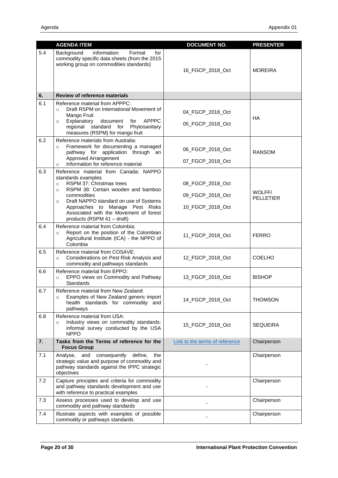|     | <b>AGENDA ITEM</b>                                                                                                                                                                                                                                                                                                                 | <b>DOCUMENT NO.</b>                                      | <b>PRESENTER</b>           |
|-----|------------------------------------------------------------------------------------------------------------------------------------------------------------------------------------------------------------------------------------------------------------------------------------------------------------------------------------|----------------------------------------------------------|----------------------------|
| 5.4 | Background<br>information:<br>Format<br>for<br>commodity specific data sheets (from the 2015<br>working group on commodities standards)                                                                                                                                                                                            | 16_FGCP_2018_Oct                                         | <b>MOREIRA</b>             |
| 6.  | <b>Review of reference materials</b>                                                                                                                                                                                                                                                                                               |                                                          |                            |
| 6.1 | Reference material from APPPC:<br>Draft RSPM on International Movement of<br>$\circ$<br>Mango Fruit<br>Explanatory<br><b>APPPC</b><br>document<br>for<br>$\circ$<br>regional<br>standard<br>for<br>Phytosanitary<br>measures (RSPM) for mango fruit                                                                                | 04_FGCP_2018_Oct<br>05_FGCP_2018_Oct                     | <b>HA</b>                  |
| 6.2 | Reference materials from Australia:<br>Framework for documenting a managed<br>$\circ$<br>pathway for application through an<br>Approved Arrangement<br>Information for reference material<br>$\circ$                                                                                                                               | 06_FGCP_2018_Oct<br>07_FGCP_2018_Oct                     | <b>RANSOM</b>              |
| 6.3 | Reference material from Canada: NAPPO<br>standards examples<br>RSPM 37: Christmas trees<br>$\circ$<br>RSPM 38: Certain wooden and bamboo<br>$\circ$<br>commodities<br>Draft NAPPO standard on use of Systems<br>$\circ$<br>Approaches to Manage Pest Risks<br>Associated with the Movement of forest<br>products (RSPM 41 - draft) | 08_FGCP_2018_Oct<br>09_FGCP_2018_Oct<br>10_FGCP_2018_Oct | WOLFF/<br><b>PELLETIER</b> |
| 6.4 | Reference material from Colombia:<br>Report on the position of the Colombian<br>$\circ$<br>Agricultural Institute (ICA) - the NPPO of<br>Colombia                                                                                                                                                                                  | 11_FGCP_2018_Oct                                         | <b>FERRO</b>               |
| 6.5 | Reference material from COSAVE:<br>Considerations on Pest Risk Analysis and<br>$\circ$<br>commodity and pathways standards                                                                                                                                                                                                         | 12_FGCP_2018_Oct                                         | <b>COELHO</b>              |
| 6.6 | Reference material from EPPO:<br>EPPO views on Commodity and Pathway<br>$\circ$<br>Standards                                                                                                                                                                                                                                       | 13_FGCP_2018_Oct                                         | <b>BISHOP</b>              |
| 6.7 | Reference material from New Zealand:<br>Examples of New Zealand generic import<br>$\circ$<br>health standards for commodity and<br>pathways                                                                                                                                                                                        | 14_FGCP_2018_Oct                                         | <b>THOMSON</b>             |
| 6.8 | Reference material from USA:<br>Industry views on commodity standards:<br>$\circ$<br>informal survey conducted by the USA<br><b>NPPO</b>                                                                                                                                                                                           | 15_FGCP_2018_Oct                                         | <b>SEQUEIRA</b>            |
| 7.  | Tasks from the Terms of reference for the<br><b>Focus Group</b>                                                                                                                                                                                                                                                                    | Link to the terms of reference                           | Chairperson                |
| 7.1 | and<br>consequently define,<br>Analyse,<br>the<br>strategic value and purpose of commodity and<br>pathway standards against the IPPC strategic<br>objectives                                                                                                                                                                       |                                                          | Chairperson                |
| 7.2 | Capture principles and criteria for commodity<br>and pathway standards development and use<br>with reference to practical examples                                                                                                                                                                                                 |                                                          | Chairperson                |
| 7.3 | Assess processes used to develop and use<br>commodity and pathway standards                                                                                                                                                                                                                                                        |                                                          | Chairperson                |
| 7.4 | Illustrate aspects with examples of possible<br>commodity or pathways standards                                                                                                                                                                                                                                                    |                                                          | Chairperson                |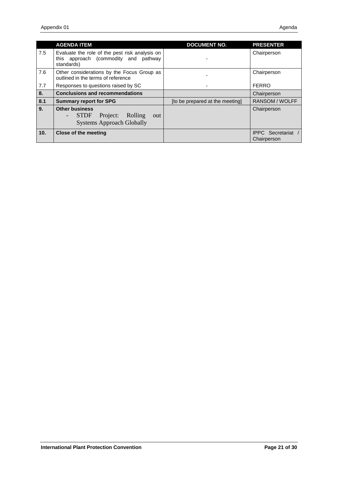|     | <b>AGENDA ITEM</b>                                                                                     | <b>DOCUMENT NO.</b>             | <b>PRESENTER</b>                         |
|-----|--------------------------------------------------------------------------------------------------------|---------------------------------|------------------------------------------|
| 7.5 | Evaluate the role of the pest risk analysis on<br>this approach (commodity and pathway<br>standards)   |                                 | Chairperson                              |
| 7.6 | Other considerations by the Focus Group as<br>outlined in the terms of reference                       |                                 | Chairperson                              |
| 7.7 | Responses to questions raised by SC                                                                    |                                 | <b>FERRO</b>                             |
| 8.  | <b>Conclusions and recommendations</b>                                                                 |                                 | Chairperson                              |
| 8.1 | <b>Summary report for SPG</b>                                                                          | [to be prepared at the meeting] | RANSOM / WOLFF                           |
| 9.  | <b>Other business</b><br>Rolling<br><b>STDF</b><br>Project:<br>out<br><b>Systems Approach Globally</b> |                                 | Chairperson                              |
| 10. | Close of the meeting                                                                                   |                                 | <b>IPPC</b> Secretariat /<br>Chairperson |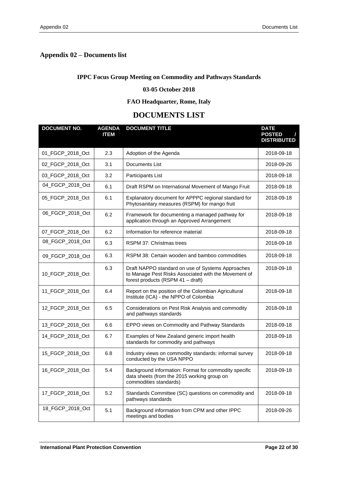## <span id="page-21-0"></span>**Appendix 02 – Documents list**

#### **IPPC Focus Group Meeting on Commodity and Pathways Standards**

#### **03-05 October 2018**

## **FAO Headquarter, Rome, Italy**

## **DOCUMENTS LIST**

| <b>DOCUMENT NO.</b> | <b>AGENDA</b><br><b>ITEM</b> | <b>DOCUMENT TITLE</b>                                                                                                                          | <b>DATE</b><br><b>POSTED</b><br><b>DISTRIBUTED</b> |
|---------------------|------------------------------|------------------------------------------------------------------------------------------------------------------------------------------------|----------------------------------------------------|
| 01_FGCP_2018_Oct    | 2.3                          | Adoption of the Agenda                                                                                                                         | 2018-09-18                                         |
| 02_FGCP_2018_Oct    | 3.1                          | Documents List                                                                                                                                 | 2018-09-26                                         |
| 03_FGCP_2018_Oct    | 3.2                          | Participants List                                                                                                                              | 2018-09-18                                         |
| 04_FGCP_2018_Oct    | 6.1                          | Draft RSPM on International Movement of Mango Fruit                                                                                            | 2018-09-18                                         |
| 05_FGCP_2018_Oct    | 6.1                          | Explanatory document for APPPC regional standard for<br>Phytosanitary measures (RSPM) for mango fruit                                          | 2018-09-18                                         |
| 06_FGCP_2018_Oct    | 6.2                          | Framework for documenting a managed pathway for<br>application through an Approved Arrangement                                                 | 2018-09-18                                         |
| 07 FGCP 2018 Oct    | 6.2                          | Information for reference material                                                                                                             | 2018-09-18                                         |
| 08_FGCP_2018_Oct    | 6.3                          | RSPM 37: Christmas trees                                                                                                                       | 2018-09-18                                         |
| 09_FGCP_2018_Oct    | 6.3                          | RSPM 38: Certain wooden and bamboo commodities                                                                                                 | 2018-09-18                                         |
| 10_FGCP_2018_Oct    | 6.3                          | Draft NAPPO standard on use of Systems Approaches<br>to Manage Pest Risks Associated with the Movement of<br>forest products (RSPM 41 - draft) | 2018-09-18                                         |
| 11_FGCP_2018_Oct    | 6.4                          | Report on the position of the Colombian Agricultural<br>Institute (ICA) - the NPPO of Colombia                                                 | 2018-09-18                                         |
| 12_FGCP_2018_Oct    | 6.5                          | Considerations on Pest Risk Analysis and commodity<br>and pathways standards                                                                   | 2018-09-18                                         |
| 13_FGCP_2018_Oct    | 6.6                          | EPPO views on Commodity and Pathway Standards                                                                                                  | 2018-09-18                                         |
| 14 FGCP 2018 Oct    | 6.7                          | Examples of New Zealand generic import health<br>standards for commodity and pathways                                                          | 2018-09-18                                         |
| 15_FGCP_2018_Oct    | 6.8                          | Industry views on commodity standards: informal survey<br>conducted by the USA NPPO                                                            | 2018-09-18                                         |
| 16_FGCP_2018_Oct    | 5.4                          | Background information: Format for commodity specific<br>data sheets (from the 2015 working group on<br>commodities standards)                 | 2018-09-18                                         |
| 17_FGCP_2018_Oct    | 5.2                          | Standards Committee (SC) questions on commodity and<br>pathways standards                                                                      | 2018-09-18                                         |
| 18 FGCP 2018 Oct    | 5.1                          | Background information from CPM and other IPPC<br>meetings and bodies                                                                          | 2018-09-26                                         |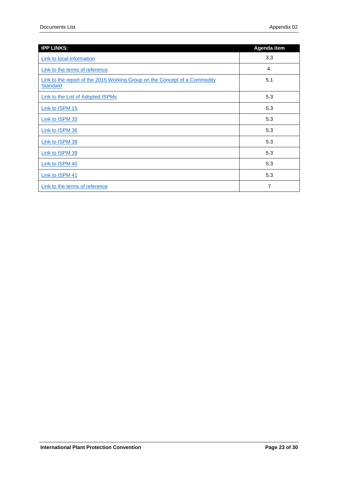| <b>IPP LINKS:</b>                                                                             | <b>Agenda item</b> |
|-----------------------------------------------------------------------------------------------|--------------------|
| Link to local information                                                                     | 3.3                |
| Link to the terms of reference                                                                | 4.                 |
| Link to the report of the 2015 Working Group on the Concept of a Commodity<br><b>Standard</b> | 5.1                |
| Link to the List of Adopted ISPMs                                                             | 5.3                |
| Link to ISPM 15                                                                               | 5.3                |
| Link to ISPM 33                                                                               | 5.3                |
| Link to ISPM 36                                                                               | 5.3                |
| Link to ISPM 38                                                                               | 5.3                |
| Link to ISPM 39                                                                               | 5.3                |
| Link to ISPM 40                                                                               | 5.3                |
| Link to ISPM 41                                                                               | 5.3                |
| Link to the terms of reference                                                                | 7                  |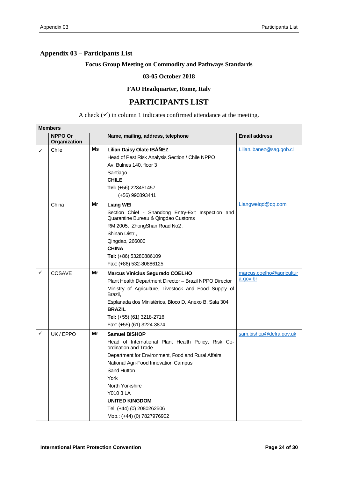## <span id="page-23-0"></span>**Appendix 03 – Participants List**

#### **Focus Group Meeting on Commodity and Pathways Standards**

#### **03-05 October 2018**

#### **FAO Headquarter, Rome, Italy**

## **PARTICIPANTS LIST**

#### A check  $(\checkmark)$  in column 1 indicates confirmed attendance at the meeting.

|              | <b>Members</b> |    |                                                                        |                          |  |  |
|--------------|----------------|----|------------------------------------------------------------------------|--------------------------|--|--|
|              | <b>NPPO Or</b> |    | Name, mailing, address, telephone                                      | <b>Email address</b>     |  |  |
|              | Organization   |    |                                                                        |                          |  |  |
| $\checkmark$ | Chile          | Ms | Lilian Daisy Olate IBÁÑEZ                                              | Lilian.ibanez@sag.gob.cl |  |  |
|              |                |    | Head of Pest Risk Analysis Section / Chile NPPO                        |                          |  |  |
|              |                |    | Av. Bulnes 140, floor 3                                                |                          |  |  |
|              |                |    | Santiago                                                               |                          |  |  |
|              |                |    | <b>CHILE</b>                                                           |                          |  |  |
|              |                |    | Tel: (+56) 223451457                                                   |                          |  |  |
|              |                |    | (+56) 990893441                                                        |                          |  |  |
|              | China          | Mr | <b>Liang WEI</b>                                                       | Liangweigd@qq.com        |  |  |
|              |                |    | Section Chief - Shandong Entry-Exit Inspection and                     |                          |  |  |
|              |                |    | Quarantine Bureau & Qingdao Customs                                    |                          |  |  |
|              |                |    | RM 2005, ZhongShan Road No2,                                           |                          |  |  |
|              |                |    | Shinan Distr.,                                                         |                          |  |  |
|              |                |    | Qingdao, 266000                                                        |                          |  |  |
|              |                |    | <b>CHINA</b>                                                           |                          |  |  |
|              |                |    | Tel: (+86) 53280886109                                                 |                          |  |  |
|              |                |    | Fax: (+86) 532-80886125                                                |                          |  |  |
| ✓            | COSAVE         | Mr | <b>Marcus Vinicius Segurado COELHO</b>                                 | marcus.coelho@agricultur |  |  |
|              |                |    | Plant Health Department Director - Brazil NPPO Director                | a.gov.br                 |  |  |
|              |                |    | Ministry of Agriculture, Livestock and Food Supply of<br>Brazil,       |                          |  |  |
|              |                |    | Esplanada dos Ministérios, Bloco D, Anexo B, Sala 304<br><b>BRAZIL</b> |                          |  |  |
|              |                |    | <b>Tel:</b> $(+55)$ (61) 3218-2716                                     |                          |  |  |
|              |                |    | Fax: (+55) (61) 3224-3874                                              |                          |  |  |
| ✓            | UK / EPPO      | Mr | <b>Samuel BISHOP</b>                                                   | sam.bishop@defra.gov.uk  |  |  |
|              |                |    | Head of International Plant Health Policy, Risk Co-                    |                          |  |  |
|              |                |    | ordination and Trade                                                   |                          |  |  |
|              |                |    | Department for Environment, Food and Rural Affairs                     |                          |  |  |
|              |                |    | National Agri-Food Innovation Campus                                   |                          |  |  |
|              |                |    | Sand Hutton                                                            |                          |  |  |
|              |                |    | York                                                                   |                          |  |  |
|              |                |    | North Yorkshire                                                        |                          |  |  |
|              |                |    | Y010 3 LA                                                              |                          |  |  |
|              |                |    | <b>UNITED KINGDOM</b>                                                  |                          |  |  |
|              |                |    | Tel: (+44) (0) 2080262506                                              |                          |  |  |
|              |                |    | Mob.: (+44) (0) 7827976902                                             |                          |  |  |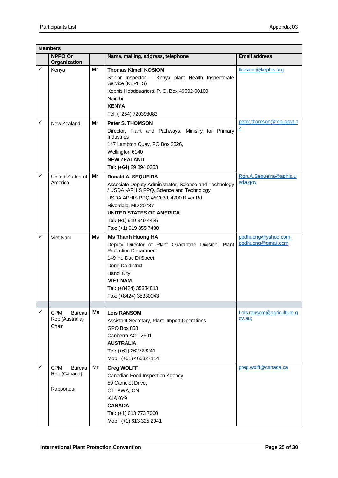|   | <b>Members</b>                       |    |                                                                                                     |                                           |  |  |
|---|--------------------------------------|----|-----------------------------------------------------------------------------------------------------|-------------------------------------------|--|--|
|   | <b>NPPO Or</b><br>Organization       |    | Name, mailing, address, telephone                                                                   | <b>Email address</b>                      |  |  |
| ✓ | Kenya                                | Mr | <b>Thomas Kimeli KOSIOM</b>                                                                         | tkosiom@kephis.org                        |  |  |
|   |                                      |    | Senior Inspector - Kenya plant Health Inspectorate<br>Service (KEPHIS)                              |                                           |  |  |
|   |                                      |    | Kephis Headquarters, P.O. Box 49592-00100                                                           |                                           |  |  |
|   |                                      |    | Nairobi                                                                                             |                                           |  |  |
|   |                                      |    | <b>KENYA</b>                                                                                        |                                           |  |  |
|   |                                      |    | Tel: (+254) 720398083                                                                               |                                           |  |  |
| ✓ | New Zealand                          | Mr | <b>Peter S. THOMSON</b>                                                                             | peter.thomson@mpi.govt.n                  |  |  |
|   |                                      |    | Director, Plant and Pathways, Ministry for Primary<br>Industries                                    | $\underline{\mathsf{Z}}$                  |  |  |
|   |                                      |    | 147 Lambton Quay, PO Box 2526,                                                                      |                                           |  |  |
|   |                                      |    | Wellington 6140                                                                                     |                                           |  |  |
|   |                                      |    | <b>NEW ZEALAND</b>                                                                                  |                                           |  |  |
|   |                                      |    | Tel: (+64) 29 894 0353                                                                              |                                           |  |  |
| ✓ | United States of                     | Mr | <b>Ronald A. SEQUEIRA</b>                                                                           | Ron.A.Sequeira@aphis.u                    |  |  |
|   | America                              |    | Associate Deputy Administrator, Science and Technology<br>/ USDA -APHIS PPQ, Science and Technology | sda.gov                                   |  |  |
|   |                                      |    | USDA APHIS PPQ #5C03J, 4700 River Rd                                                                |                                           |  |  |
|   |                                      |    | Riverdale, MD 20737                                                                                 |                                           |  |  |
|   |                                      |    | UNITED STATES OF AMERICA                                                                            |                                           |  |  |
|   |                                      |    | Tel: (+1) 919 349 4425                                                                              |                                           |  |  |
|   |                                      |    | Fax: (+1) 919 855 7480                                                                              |                                           |  |  |
| ✓ | Viet Nam                             | Ms | <b>Ms Thanh Huong HA</b>                                                                            | ppdhuong@yahoo.com;<br>ppdhuong@gmail.com |  |  |
|   |                                      |    | Deputy Director of Plant Quarantine Division, Plant<br><b>Protection Department</b>                 |                                           |  |  |
|   |                                      |    | 149 Ho Dac Di Street                                                                                |                                           |  |  |
|   |                                      |    | Dong Da district                                                                                    |                                           |  |  |
|   |                                      |    | Hanoi City<br><b>VIET NAM</b>                                                                       |                                           |  |  |
|   |                                      |    | Tel: (+8424) 35334813                                                                               |                                           |  |  |
|   |                                      |    | Fax: (+8424) 35330043                                                                               |                                           |  |  |
|   |                                      |    |                                                                                                     |                                           |  |  |
| ✓ | <b>CPM</b><br>Bureau                 | Ms | <b>Lois RANSOM</b>                                                                                  | Lois.ransom@agriculture.g                 |  |  |
|   | Rep (Australia)                      |    | Assistant Secretary, Plant Import Operations                                                        | ov.au;                                    |  |  |
|   | Chair                                |    | GPO Box 858                                                                                         |                                           |  |  |
|   |                                      |    | Canberra ACT 2601                                                                                   |                                           |  |  |
|   |                                      |    | <b>AUSTRALIA</b>                                                                                    |                                           |  |  |
|   |                                      |    | Tel: (+61) 262723241                                                                                |                                           |  |  |
|   |                                      |    | Mob.: (+61) 466327114                                                                               |                                           |  |  |
|   | <b>CPM</b><br>Bureau<br>Rep (Canada) | Mr | <b>Greg WOLFF</b>                                                                                   | greg.wolff@canada.ca                      |  |  |
|   |                                      |    | Canadian Food Inspection Agency                                                                     |                                           |  |  |
|   |                                      |    | 59 Camelot Drive,                                                                                   |                                           |  |  |
|   | Rapporteur                           |    | OTTAWA, ON.                                                                                         |                                           |  |  |
|   |                                      |    | K1A0Y9                                                                                              |                                           |  |  |
|   |                                      |    | <b>CANADA</b>                                                                                       |                                           |  |  |
|   |                                      |    | Tel: (+1) 613 773 7060                                                                              |                                           |  |  |
|   |                                      |    | Mob.: (+1) 613 325 2941                                                                             |                                           |  |  |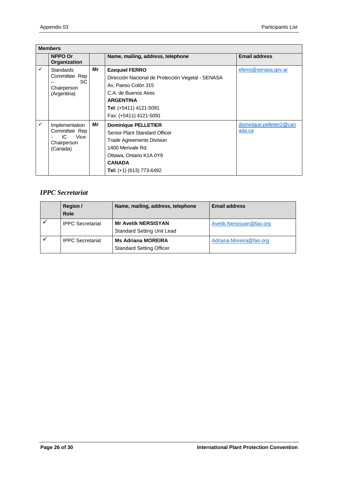|              | <b>Members</b>                                                             |    |                                                                                                                                                                                                     |                                    |  |  |
|--------------|----------------------------------------------------------------------------|----|-----------------------------------------------------------------------------------------------------------------------------------------------------------------------------------------------------|------------------------------------|--|--|
|              | NPPO Or<br>Organization                                                    |    | Name, mailing, address, telephone                                                                                                                                                                   | <b>Email address</b>               |  |  |
| $\checkmark$ | <b>Standards</b><br>Committee Rep<br>SC.<br>Chairperson<br>(Argentina)     | Mr | <b>Ezequiel FERRO</b><br>Dirección Nacional de Protección Vegetal - SENASA<br>Av, Paeso Colón 315<br>C.A. de Buenos Aires<br><b>ARGENTINA</b><br>Tel: (+5411) 4121-5091<br>Fax: (+5411) 4121-5091   | eferro@senasa.gov.ar               |  |  |
| $\checkmark$ | Implementation<br>Committee Rep<br>IC.<br>Vice-<br>Chairperson<br>(Canada) | Mr | <b>Dominique PELLETIER</b><br>Senior Plant Standard Officer<br><b>Trade Agreements Division</b><br>1400 Merivale Rd.<br>Ottawa, Ontario K1A 0Y9<br><b>CANADA</b><br><b>Tel:</b> (+1) (613) 773-6492 | dominique.pelletier2@can<br>ada.ca |  |  |

## *IPPC Secretariat*

| Region /<br><b>Role</b> | Name, mailing, address, telephone                               | <b>Email address</b>     |
|-------------------------|-----------------------------------------------------------------|--------------------------|
| <b>IPPC</b> Secretariat | <b>Mr Avetik NERSISYAN</b><br><b>Standard Setting Unit Lead</b> | Avetik.Nersisyan@fao.org |
| <b>IPPC Secretariat</b> | <b>Ms Adriana MOREIRA</b><br><b>Standard Setting Officer</b>    | Adriana.Moreira@fao.org  |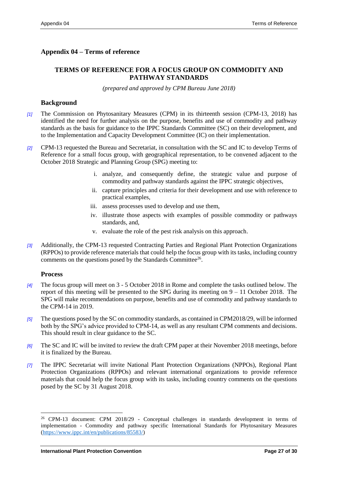## <span id="page-26-0"></span>**Appendix 04 – Terms of reference**

### **TERMS OF REFERENCE FOR A FOCUS GROUP ON COMMODITY AND PATHWAY STANDARDS**

*(prepared and approved by CPM Bureau June 2018)*

#### **Background**

- *[1]* The Commission on Phytosanitary Measures (CPM) in its thirteenth session (CPM-13, 2018) has identified the need for further analysis on the purpose, benefits and use of commodity and pathway standards as the basis for guidance to the IPPC Standards Committee (SC) on their development, and to the Implementation and Capacity Development Committee (IC) on their implementation.
- *[2]* CPM-13 requested the Bureau and Secretariat, in consultation with the SC and IC to develop Terms of Reference for a small focus group, with geographical representation, to be convened adjacent to the October 2018 Strategic and Planning Group (SPG) meeting to:
	- i. analyze, and consequently define, the strategic value and purpose of commodity and pathway standards against the IPPC strategic objectives,
	- ii. capture principles and criteria for their development and use with reference to practical examples,
	- iii. assess processes used to develop and use them,
	- iv. illustrate those aspects with examples of possible commodity or pathways standards, and,
	- v. evaluate the role of the pest risk analysis on this approach.
- *[3]* Additionally, the CPM-13 requested Contracting Parties and Regional Plant Protection Organizations (RPPOs) to provide reference materials that could help the focus group with its tasks, including country comments on the questions posed by the Standards Committee<sup>26</sup>.

#### **Process**

1

- *[4]* The focus group will meet on 3 5 October 2018 in Rome and complete the tasks outlined below. The report of this meeting will be presented to the SPG during its meeting on 9 – 11 October 2018. The SPG will make recommendations on purpose, benefits and use of commodity and pathway standards to the CPM-14 in 2019.
- *[5]* The questions posed by the SC on commodity standards, as contained in CPM2018/29, will be informed both by the SPG's advice provided to CPM-14, as well as any resultant CPM comments and decisions. This should result in clear guidance to the SC.
- *[6]* The SC and IC will be invited to review the draft CPM paper at their November 2018 meetings, before it is finalized by the Bureau.
- *[7]* The IPPC Secretariat will invite National Plant Protection Organizations (NPPOs), Regional Plant Protection Organizations (RPPOs) and relevant international organizations to provide reference materials that could help the focus group with its tasks, including country comments on the questions posed by the SC by 31 August 2018.

<sup>26</sup> CPM-13 document: CPM 2018/29 - Conceptual challenges in standards development in terms of implementation - Commodity and pathway specific International Standards for Phytosanitary Measures [\(https://www.ippc.int/en/publications/85583/\)](https://www.ippc.int/en/publications/85583/)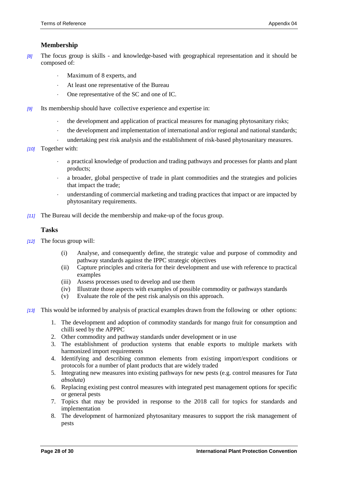### **Membership**

- *[8]* The focus group is skills and knowledge-based with geographical representation and it should be composed of:
	- Maximum of 8 experts, and
	- At least one representative of the Bureau
	- One representative of the SC and one of IC.
- *[9]* Its membership should have collective experience and expertise in:
	- the development and application of practical measures for managing phytosanitary risks;
	- the development and implementation of international and/or regional and national standards;
	- undertaking pest risk analysis and the establishment of risk-based phytosanitary measures.
- *[10]* Together with:
	- a practical knowledge of production and trading pathways and processes for plants and plant products;
	- a broader, global perspective of trade in plant commodities and the strategies and policies that impact the trade;
	- understanding of commercial marketing and trading practices that impact or are impacted by phytosanitary requirements.
- *[11]* The Bureau will decide the membership and make-up of the focus group.

#### **Tasks**

- *[12]* The focus group will:
	- (i) Analyse, and consequently define, the strategic value and purpose of commodity and pathway standards against the IPPC strategic objectives
	- (ii) Capture principles and criteria for their development and use with reference to practical examples
	- (iii) Assess processes used to develop and use them
	- (iv) Illustrate those aspects with examples of possible commodity or pathways standards
	- (v) Evaluate the role of the pest risk analysis on this approach.
- *[13]* This would be informed by analysis of practical examples drawn from the following or other options:
	- 1. The development and adoption of commodity standards for mango fruit for consumption and chilli seed by the APPPC
	- 2. Other commodity and pathway standards under development or in use
	- 3. The establishment of production systems that enable exports to multiple markets with harmonized import requirements
	- 4. Identifying and describing common elements from existing import/export conditions or protocols for a number of plant products that are widely traded
	- 5. Integrating new measures into existing pathways for new pests (e.g. control measures for *Tuta absoluta*)
	- 6. Replacing existing pest control measures with integrated pest management options for specific or general pests
	- 7. Topics that may be provided in response to the 2018 call for topics for standards and implementation
	- 8. The development of harmonized phytosanitary measures to support the risk management of pests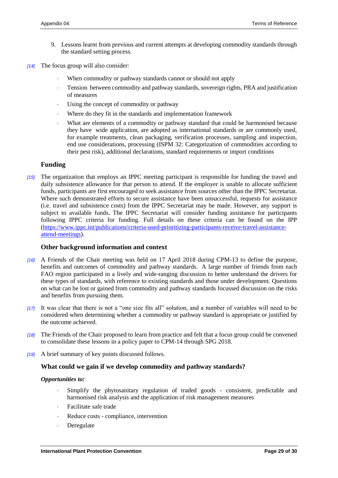- 9. Lessons learnt from previous and current attempts at developing commodity standards through the standard setting process.
- *[14]* The focus group will also consider:
	- When commodity or pathway standards cannot or should not apply
	- Tension between commodity and pathway standards, sovereign rights, PRA and justification of measures
	- Using the concept of commodity or pathway
	- Where do they fit in the standards and implementation framework
	- What are elements of a commodity or pathway standard that could be harmonised because they have wide application, are adopted as international standards or are commonly used, for example treatments, clean packaging, verification processes, sampling and inspection, end use considerations, processing (ISPM 32: Categorization of commodities according to their pest risk), additional declarations, standard requirements or import conditions

#### **Funding**

*[15]* The organization that employs an IPPC meeting participant is responsible for funding the travel and daily subsistence allowance for that person to attend. If the employer is unable to allocate sufficient funds, participants are first encouraged to seek assistance from sources other than the IPPC Secretariat. Where such demonstrated efforts to secure assistance have been unsuccessful, requests for assistance (i.e. travel and subsistence costs) from the IPPC Secretariat may be made. However, any support is subject to available funds. The IPPC Secretariat will consider funding assistance for participants following IPPC criteria for funding. Full details on these criteria can be found on the IPP [\(https://www.ippc.int/publications/criteria-used-prioritizing-participants-receive-travel-assistance](https://www.ippc.int/publications/criteria-used-prioritizing-participants-receive-travel-assistance-attend-meetings)[attend-meetings\)](https://www.ippc.int/publications/criteria-used-prioritizing-participants-receive-travel-assistance-attend-meetings).

#### **Other background information and context**

- *[16]* A Friends of the Chair meeting was held on 17 April 2018 during CPM-13 to define the purpose, benefits and outcomes of commodity and pathway standards. A large number of friends from each FAO region participated in a lively and wide-ranging discussion to better understand the drivers for these types of standards, with reference to existing standards and those under development. Questions on what can be lost or gained from commodity and pathway standards focussed discussion on the risks and benefits from pursuing them.
- *[17]* It was clear that there is not a "one size fits all" solution, and a number of variables will need to be considered when determining whether a commodity or pathway standard is appropriate or justified by the outcome achieved.
- *[18]* The Friends of the Chair proposed to learn from practice and felt that a focus group could be convened to consolidate these lessons in a policy paper to CPM-14 through SPG 2018.
- *[19]* A brief summary of key points discussed follows.

#### **What could we gain if we develop commodity and pathway standards?**

#### *Opportunities to:*

- Simplify the phytosanitary regulation of traded goods consistent, predictable and harmonised risk analysis and the application of risk management measures
- Facilitate safe trade
- Reduce costs compliance, intervention
- Deregulate